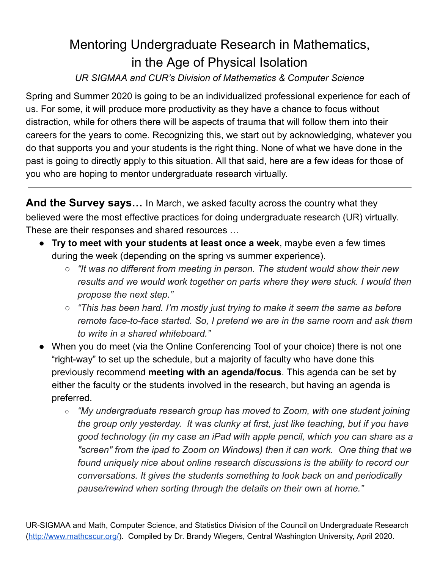# Mentoring Undergraduate Research in Mathematics, in the Age of Physical Isolation

### *UR SIGMAA and CUR's Division of Mathematics & Computer Science*

Spring and Summer 2020 is going to be an individualized professional experience for each of us. For some, it will produce more productivity as they have a chance to focus without distraction, while for others there will be aspects of trauma that will follow them into their careers for the years to come. Recognizing this, we start out by acknowledging, whatever you do that supports you and your students is the right thing. None of what we have done in the past is going to directly apply to this situation. All that said, here are a few ideas for those of you who are hoping to mentor undergraduate research virtually.

**And the Survey says…** In March, we asked faculty across the country what they believed were the most effective practices for doing undergraduate research (UR) virtually. These are their responses and shared resources …

- **Try to meet with your students at least once a week**, maybe even a few times during the week (depending on the spring vs summer experience).
	- *○ "It was no different from meeting in person. The student would show their new results and we would work together on parts where they were stuck. I would then propose the next step."*
	- *○ "This has been hard. I'm mostly just trying to make it seem the same as before remote face-to-face started. So, I pretend we are in the same room and ask them to write in a shared whiteboard."*
- When you do meet (via the Online Conferencing Tool of your choice) there is not one "right-way" to set up the schedule, but a majority of faculty who have done this previously recommend **meeting with an agenda/focus**. This agenda can be set by either the faculty or the students involved in the research, but having an agenda is preferred.
	- *○ "My undergraduate research group has moved to Zoom, with one student joining the group only yesterday. It was clunky at first, just like teaching, but if you have good technology (in my case an iPad with apple pencil, which you can share as a "screen" from the ipad to Zoom on Windows) then it can work. One thing that we found uniquely nice about online research discussions is the ability to record our conversations. It gives the students something to look back on and periodically pause/rewind when sorting through the details on their own at home."*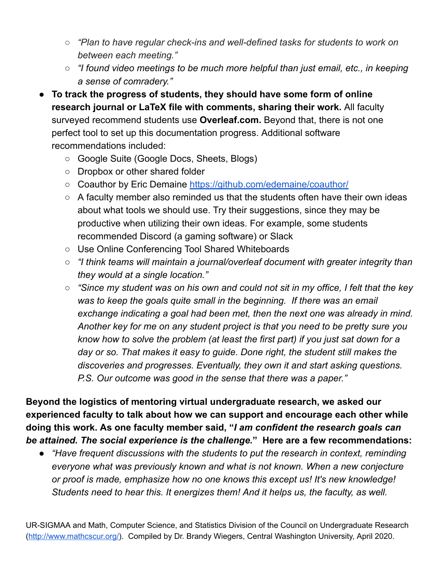- *○ "Plan to have regular check-ins and well-defined tasks for students to work on between each meeting."*
- *○ "I found video meetings to be much more helpful than just email, etc., in keeping a sense of comradery."*
- **To track the progress of students, they should have some form of online research journal or LaTeX file with comments, sharing their work.** All faculty surveyed recommend students use **Overleaf.com.** Beyond that, there is not one perfect tool to set up this documentation progress. Additional software recommendations included:
	- Google Suite (Google Docs, Sheets, Blogs)
	- Dropbox or other shared folder
	- Coauthor by Eric Demaine <https://github.com/edemaine/coauthor/>
	- A faculty member also reminded us that the students often have their own ideas about what tools we should use. Try their suggestions, since they may be productive when utilizing their own ideas. For example, some students recommended Discord (a gaming software) or Slack
	- Use Online Conferencing Tool Shared Whiteboards
	- *○ "I think teams will maintain a journal/overleaf document with greater integrity than they would at a single location."*
	- $\circ$  "Since my student was on his own and could not sit in my office. I felt that the key *was to keep the goals quite small in the beginning. If there was an email exchange indicating a goal had been met, then the next one was already in mind. Another key for me on any student project is that you need to be pretty sure you know how to solve the problem (at least the first part) if you just sat down for a day or so. That makes it easy to guide. Done right, the student still makes the discoveries and progresses. Eventually, they own it and start asking questions. P.S. Our outcome was good in the sense that there was a paper."*

**Beyond the logistics of mentoring virtual undergraduate research, we asked our experienced faculty to talk about how we can support and encourage each other while doing this work. As one faculty member said, "***I am confident the research goals can be attained. The social experience is the challenge.***" Here are a few recommendations:**

*● "Have frequent discussions with the students to put the research in context, reminding everyone what was previously known and what is not known. When a new conjecture or proof is made, emphasize how no one knows this except us! It's new knowledge! Students need to hear this. It energizes them! And it helps us, the faculty, as well.*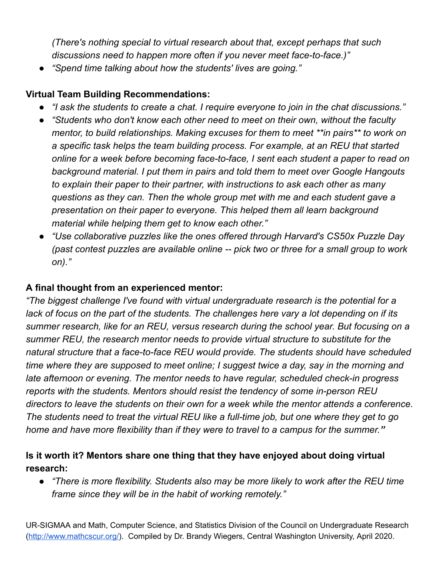*(There's nothing special to virtual research about that, except perhaps that such discussions need to happen more often if you never meet face-to-face.)"*

*● "Spend time talking about how the students' lives are going."*

#### **Virtual Team Building Recommendations:**

- *● "I ask the students to create a chat. I require everyone to join in the chat discussions."*
- *● "Students who don't know each other need to meet on their own, without the faculty mentor, to build relationships. Making excuses for them to meet \*\*in pairs\*\* to work on a specific task helps the team building process. For example, at an REU that started online for a week before becoming face-to-face, I sent each student a paper to read on background material. I put them in pairs and told them to meet over Google Hangouts to explain their paper to their partner, with instructions to ask each other as many questions as they can. Then the whole group met with me and each student gave a presentation on their paper to everyone. This helped them all learn background material while helping them get to know each other."*
- *● "Use collaborative puzzles like the ones offered through Harvard's CS50x Puzzle Day (past contest puzzles are available online -- pick two or three for a small group to work on)."*

#### **A final thought from an experienced mentor:**

*"The biggest challenge I've found with virtual undergraduate research is the potential for a* lack of focus on the part of the students. The challenges here vary a lot depending on if its *summer research, like for an REU, versus research during the school year. But focusing on a summer REU, the research mentor needs to provide virtual structure to substitute for the natural structure that a face-to-face REU would provide. The students should have scheduled time where they are supposed to meet online; I suggest twice a day, say in the morning and late afternoon or evening. The mentor needs to have regular, scheduled check-in progress reports with the students. Mentors should resist the tendency of some in-person REU directors to leave the students on their own for a week while the mentor attends a conference.* The students need to treat the virtual REU like a full-time job, but one where they get to go *home and have more flexibility than if they were to travel to a campus for the summer."*

### **Is it worth it? Mentors share one thing that they have enjoyed about doing virtual research:**

*● "There is more flexibility. Students also may be more likely to work after the REU time frame since they will be in the habit of working remotely."*

UR-SIGMAA and Math, Computer Science, and Statistics Division of the Council on Undergraduate Research ([http://www.mathcscur.org/\)](http://www.mathcscur.org/). Compiled by Dr. Brandy Wiegers, Central Washington University, April 2020.